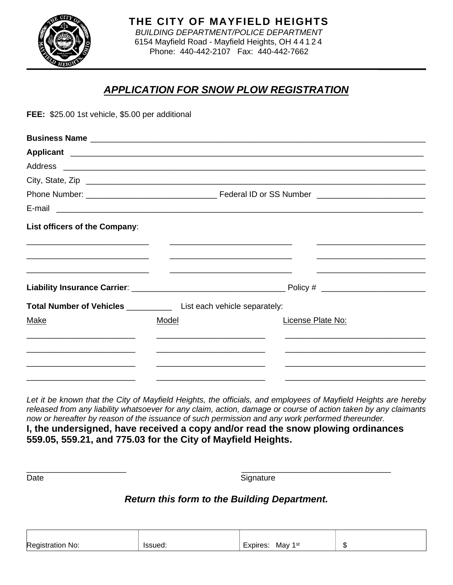

# *APPLICATION FOR SNOW PLOW REGISTRATION*

**FEE:** \$25.00 1st vehicle, \$5.00 per additional

| City, State, Zip              |                                                                     |                   |  |  |
|-------------------------------|---------------------------------------------------------------------|-------------------|--|--|
|                               |                                                                     |                   |  |  |
|                               |                                                                     |                   |  |  |
| List officers of the Company: |                                                                     |                   |  |  |
|                               |                                                                     |                   |  |  |
|                               |                                                                     |                   |  |  |
|                               | Total Number of Vehicles ____________ List each vehicle separately: |                   |  |  |
| Make                          | Model                                                               | License Plate No: |  |  |
|                               |                                                                     |                   |  |  |
|                               |                                                                     |                   |  |  |
|                               |                                                                     |                   |  |  |

*Let it be known that the City of Mayfield Heights, the officials, and employees of Mayfield Heights are hereby released from any liability whatsoever for any claim, action, damage or course of action taken by any claimants now or hereafter by reason of the issuance of such permission and any work performed thereunder.* 

**I, the undersigned, have received a copy and/or read the snow plowing ordinances 559.05, 559.21, and 775.03 for the City of Mayfield Heights.**

 $\overline{\phantom{a}}$  , and the contract of the contract of the contract of the contract of the contract of the contract of the contract of the contract of the contract of the contract of the contract of the contract of the contrac

Date Signature Signature

## *Return this form to the Building Department.*

| m<br>No:<br>⊷<br>۰ د . | $\sim$ . $\sim$ . $\sim$ .<br>ہ دا ا<br>. | $\overline{\phantom{0}}$<br>1st<br>May<br>ores | 灬<br>۰IJ |
|------------------------|-------------------------------------------|------------------------------------------------|----------|